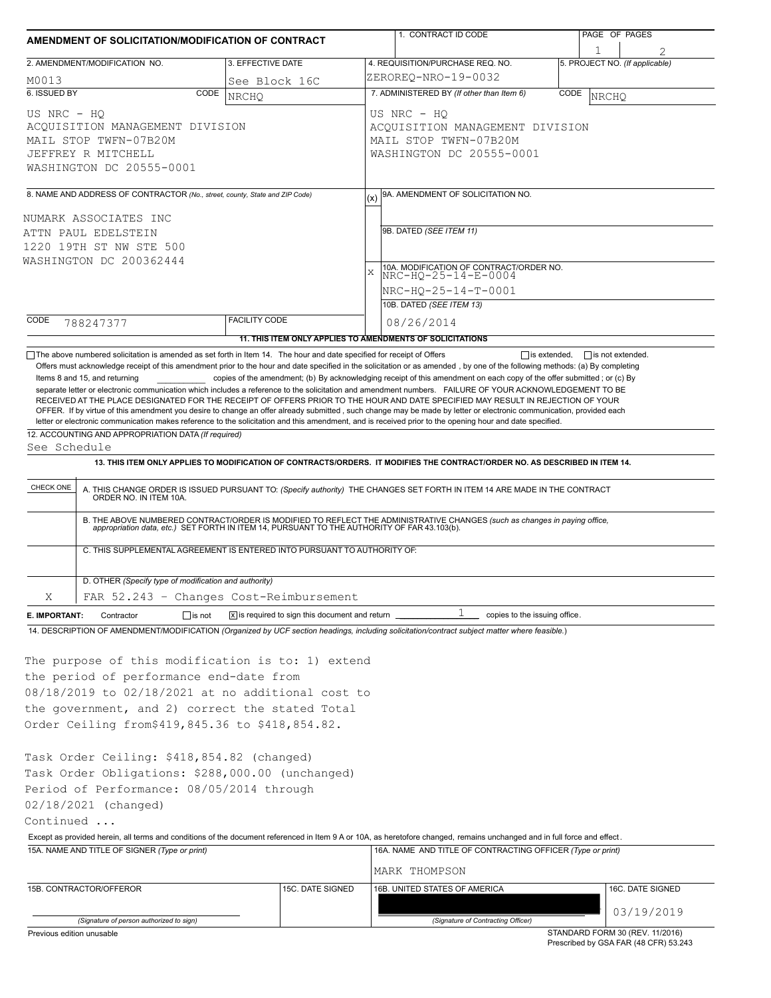| AMENDMENT OF SOLICITATION/MODIFICATION OF CONTRACT                                                                                                                                                                                                                                                                                                                                                             |                      |                                                |                                                                                                     | 1. CONTRACT ID CODE                                                                                                                                                                                                                                                             |  | PAGE OF PAGES                  |  |  |  |
|----------------------------------------------------------------------------------------------------------------------------------------------------------------------------------------------------------------------------------------------------------------------------------------------------------------------------------------------------------------------------------------------------------------|----------------------|------------------------------------------------|-----------------------------------------------------------------------------------------------------|---------------------------------------------------------------------------------------------------------------------------------------------------------------------------------------------------------------------------------------------------------------------------------|--|--------------------------------|--|--|--|
| 2. AMENDMENT/MODIFICATION NO.                                                                                                                                                                                                                                                                                                                                                                                  | 3. EFFECTIVE DATE    |                                                |                                                                                                     | 4. REQUISITION/PURCHASE REQ. NO.                                                                                                                                                                                                                                                |  | 5. PROJECT NO. (If applicable) |  |  |  |
| M0013                                                                                                                                                                                                                                                                                                                                                                                                          | See Block 16C        |                                                | ZEROREQ-NRO-19-0032                                                                                 |                                                                                                                                                                                                                                                                                 |  |                                |  |  |  |
| 6. ISSUED BY<br>CODE                                                                                                                                                                                                                                                                                                                                                                                           | <b>NRCHO</b>         |                                                | 7. ADMINISTERED BY (If other than Item 6)<br>CODE<br>NRCHO                                          |                                                                                                                                                                                                                                                                                 |  |                                |  |  |  |
| US NRC - HQ<br>ACOUISITION MANAGEMENT DIVISION<br>MAIL STOP TWFN-07B20M<br>JEFFREY R MITCHELL<br>WASHINGTON DC 20555-0001                                                                                                                                                                                                                                                                                      |                      |                                                | US NRC - HQ<br>ACQUISITION MANAGEMENT DIVISION<br>MAIL STOP TWFN-07B20M<br>WASHINGTON DC 20555-0001 |                                                                                                                                                                                                                                                                                 |  |                                |  |  |  |
| 8. NAME AND ADDRESS OF CONTRACTOR (No., street, county, State and ZIP Code)                                                                                                                                                                                                                                                                                                                                    |                      |                                                | 9A. AMENDMENT OF SOLICITATION NO.                                                                   |                                                                                                                                                                                                                                                                                 |  |                                |  |  |  |
| NUMARK ASSOCIATES INC<br>ATTN PAUL EDELSTEIN<br>1220 19TH ST NW STE 500<br>WASHINGTON DC 200362444                                                                                                                                                                                                                                                                                                             |                      |                                                | 9B. DATED (SEE ITEM 11)<br>10A. MODIFICATION OF CONTRACT/ORDER NO.<br>X<br>NRC-HQ-25-14-E-0004      |                                                                                                                                                                                                                                                                                 |  |                                |  |  |  |
|                                                                                                                                                                                                                                                                                                                                                                                                                |                      |                                                | NRC-HO-25-14-T-0001<br>10B. DATED (SEE ITEM 13)                                                     |                                                                                                                                                                                                                                                                                 |  |                                |  |  |  |
| CODE<br>788247377                                                                                                                                                                                                                                                                                                                                                                                              | <b>FACILITY CODE</b> |                                                |                                                                                                     | 08/26/2014                                                                                                                                                                                                                                                                      |  |                                |  |  |  |
|                                                                                                                                                                                                                                                                                                                                                                                                                |                      |                                                |                                                                                                     | 11. THIS ITEM ONLY APPLIES TO AMENDMENTS OF SOLICITATIONS                                                                                                                                                                                                                       |  |                                |  |  |  |
| letter or electronic communication makes reference to the solicitation and this amendment, and is received prior to the opening hour and date specified.<br>12. ACCOUNTING AND APPROPRIATION DATA (If required)<br>See Schedule<br>CHECK ONE                                                                                                                                                                   |                      |                                                |                                                                                                     | 13. THIS ITEM ONLY APPLIES TO MODIFICATION OF CONTRACTS/ORDERS. IT MODIFIES THE CONTRACT/ORDER NO. AS DESCRIBED IN ITEM 14.<br>A. THIS CHANGE ORDER IS ISSUED PURSUANT TO: (Specify authority) THE CHANGES SET FORTH IN ITEM 14 ARE MADE IN THE CONTRACT ORDER NO. IN ITEM 10A. |  |                                |  |  |  |
| C. THIS SUPPLEMENTAL AGREEMENT IS ENTERED INTO PURSUANT TO AUTHORITY OF:                                                                                                                                                                                                                                                                                                                                       |                      |                                                |                                                                                                     | B. THE ABOVE NUMBERED CONTRACT/ORDER IS MODIFIED TO REFLECT THE ADMINISTRATIVE CHANGES (such as changes in paying office, appropriation data, etc.) SET FORTH IN ITEM 14, PURSUANT TO THE AUTHORITY OF FAR 43.103(b).                                                           |  |                                |  |  |  |
| D. OTHER (Specify type of modification and authority)                                                                                                                                                                                                                                                                                                                                                          |                      |                                                |                                                                                                     |                                                                                                                                                                                                                                                                                 |  |                                |  |  |  |
| FAR 52.243 - Changes Cost-Reimbursement<br>Χ                                                                                                                                                                                                                                                                                                                                                                   |                      |                                                |                                                                                                     |                                                                                                                                                                                                                                                                                 |  |                                |  |  |  |
| $\Box$ is not<br>E. IMPORTANT:<br>Contractor                                                                                                                                                                                                                                                                                                                                                                   |                      | x is required to sign this document and return |                                                                                                     | copies to the issuing office.                                                                                                                                                                                                                                                   |  |                                |  |  |  |
| 14. DESCRIPTION OF AMENDMENT/MODIFICATION (Organized by UCF section headings, including solicitation/contract subject matter where feasible.)<br>The purpose of this modification is to: 1) extend<br>the period of performance end-date from<br>08/18/2019 to 02/18/2021 at no additional cost to<br>the government, and 2) correct the stated Total<br>Order Ceiling from\$419,845.36 to \$418,854.82.       |                      |                                                |                                                                                                     |                                                                                                                                                                                                                                                                                 |  |                                |  |  |  |
| Task Order Ceiling: \$418,854.82 (changed)<br>Task Order Obligations: \$288,000.00 (unchanged)<br>Period of Performance: 08/05/2014 through<br>02/18/2021 (changed)<br>Continued<br>Except as provided herein, all terms and conditions of the document referenced in Item 9 A or 10A, as heretofore changed, remains unchanged and in full force and effect.<br>15A. NAME AND TITLE OF SIGNER (Type or print) |                      |                                                |                                                                                                     | 16A. NAME AND TITLE OF CONTRACTING OFFICER (Type or print)                                                                                                                                                                                                                      |  |                                |  |  |  |
|                                                                                                                                                                                                                                                                                                                                                                                                                |                      |                                                |                                                                                                     | MARK THOMPSON                                                                                                                                                                                                                                                                   |  |                                |  |  |  |
| 15B. CONTRACTOR/OFFEROR                                                                                                                                                                                                                                                                                                                                                                                        |                      | 15C. DATE SIGNED                               |                                                                                                     | 16B. UNITED STATES OF AMERICA                                                                                                                                                                                                                                                   |  | 16C. DATE SIGNED<br>03/19/2019 |  |  |  |
| (Signature of person authorized to sign)                                                                                                                                                                                                                                                                                                                                                                       |                      |                                                |                                                                                                     | (Signature of Contracting Officer)                                                                                                                                                                                                                                              |  |                                |  |  |  |

Previous edition unusable

STANDARD FORM 30 (REV. 11/2016) Prescribed by GSA FAR (48 CFR) 53.243